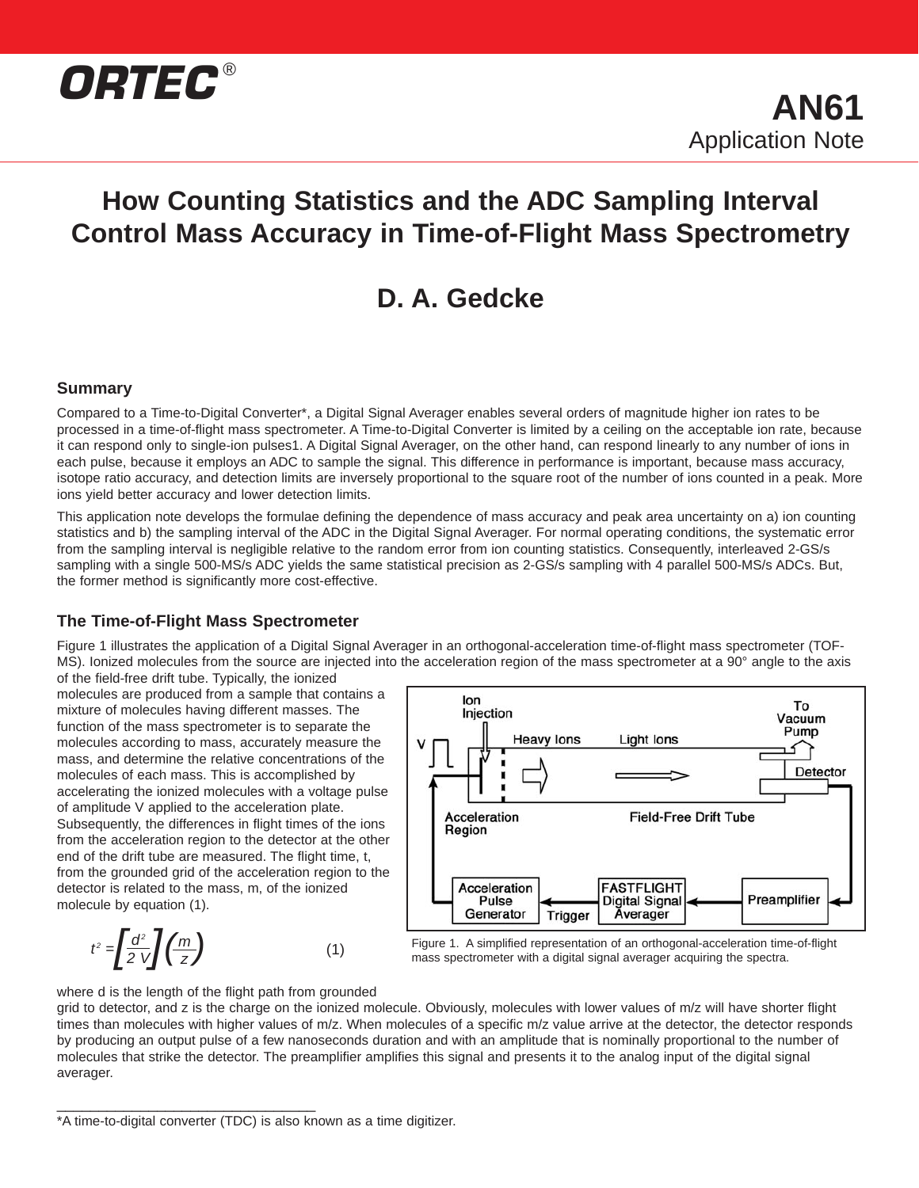

# **How Counting Statistics and the ADC Sampling Interval Control Mass Accuracy in Time-of-Flight Mass Spectrometry**

# **D. A. Gedcke**

## **Summary**

Compared to a Time-to-Digital Converter\*, a Digital Signal Averager enables several orders of magnitude higher ion rates to be processed in a time-of-flight mass spectrometer. A Time-to-Digital Converter is limited by a ceiling on the acceptable ion rate, because it can respond only to single-ion pulses1. A Digital Signal Averager, on the other hand, can respond linearly to any number of ions in each pulse, because it employs an ADC to sample the signal. This difference in performance is important, because mass accuracy, isotope ratio accuracy, and detection limits are inversely proportional to the square root of the number of ions counted in a peak. More ions yield better accuracy and lower detection limits.

This application note develops the formulae defining the dependence of mass accuracy and peak area uncertainty on a) ion counting statistics and b) the sampling interval of the ADC in the Digital Signal Averager. For normal operating conditions, the systematic error from the sampling interval is negligible relative to the random error from ion counting statistics. Consequently, interleaved 2-GS/s sampling with a single 500-MS/s ADC yields the same statistical precision as 2-GS/s sampling with 4 parallel 500-MS/s ADCs. But, the former method is significantly more cost-effective.

## **The Time-of-Flight Mass Spectrometer**

Figure 1 illustrates the application of a Digital Signal Averager in an orthogonal-acceleration time-of-flight mass spectrometer (TOF-MS). Ionized molecules from the source are injected into the acceleration region of the mass spectrometer at a 90° angle to the axis

of the field-free drift tube. Typically, the ionized molecules are produced from a sample that contains a mixture of molecules having different masses. The function of the mass spectrometer is to separate the molecules according to mass, accurately measure the mass, and determine the relative concentrations of the molecules of each mass. This is accomplished by accelerating the ionized molecules with a voltage pulse of amplitude V applied to the acceleration plate. Subsequently, the differences in flight times of the ions from the acceleration region to the detector at the other end of the drift tube are measured. The flight time, t, from the grounded grid of the acceleration region to the detector is related to the mass, m, of the ionized molecule by equation (1).

$$
t^2 = \left[\frac{d^2}{2 V}\right] \left(\frac{m}{z}\right) \tag{1}
$$

\_\_\_\_\_\_\_\_\_\_\_\_\_\_\_\_\_\_\_\_\_\_\_\_\_\_\_\_\_\_\_



Figure 1. A simplified representation of an orthogonal-acceleration time-of-flight right a simplified representation or an orthogonal-acceleration time<br>mass spectrometer with a digital signal averager acquiring the spectra.

where d is the length of the flight path from grounded

grid to detector, and z is the charge on the ionized molecule. Obviously, molecules with lower values of m/z will have shorter flight times than molecules with higher values of m/z. When molecules of a specific m/z value arrive at the detector, the detector responds by producing an output pulse of a few nanoseconds duration and with an amplitude that is nominally proportional to the number of molecules that strike the detector. The preamplifier amplifies this signal and presents it to the analog input of the digital signal averager.

<sup>\*</sup>A time-to-digital converter (TDC) is also known as a time digitizer.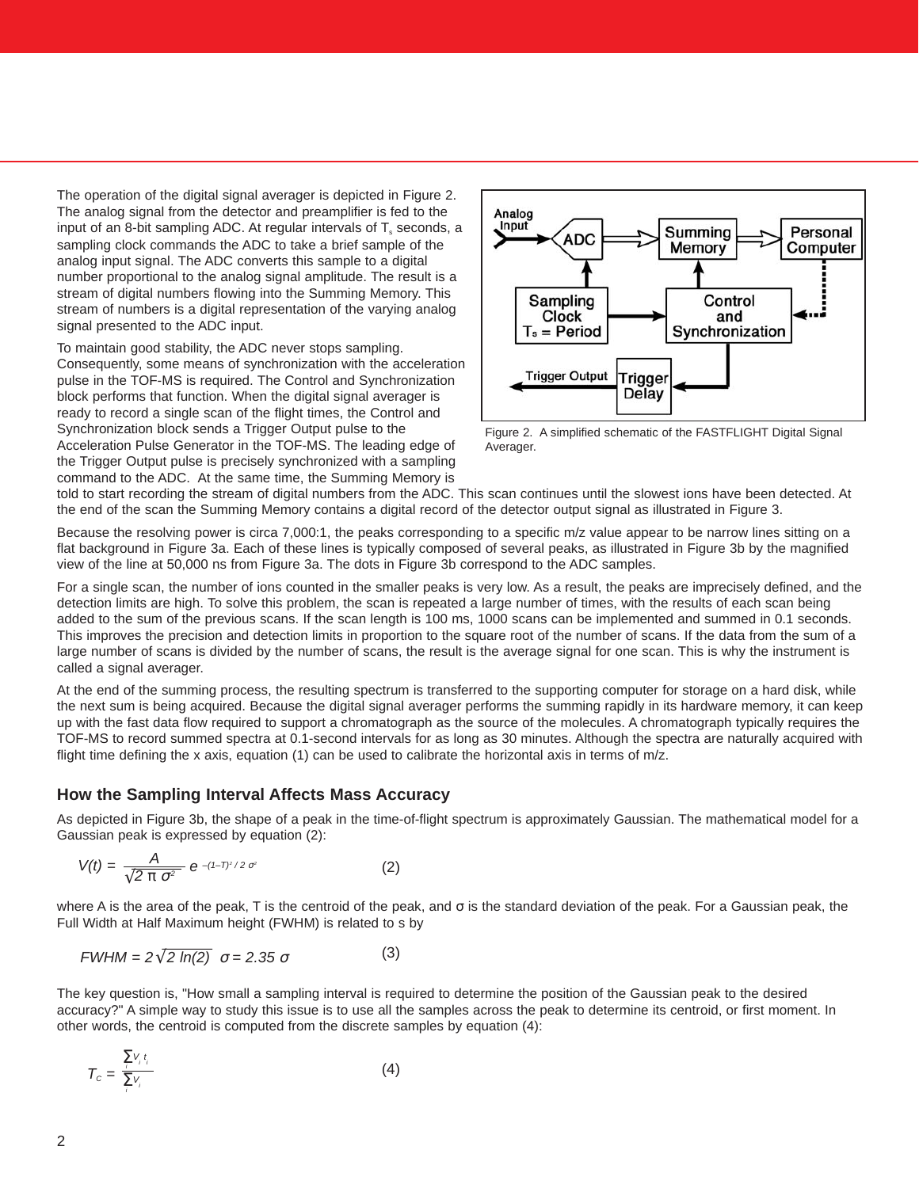The operation of the digital signal averager is depicted in Figure 2. The analog signal from the detector and preamplifier is fed to the input of an 8-bit sampling ADC. At regular intervals of  $T_s$  seconds, a sampling clock commands the ADC to take a brief sample of the analog input signal. The ADC converts this sample to a digital number proportional to the analog signal amplitude. The result is a stream of digital numbers flowing into the Summing Memory. This stream of numbers is a digital representation of the varying analog signal presented to the ADC input.

To maintain good stability, the ADC never stops sampling. Consequently, some means of synchronization with the acceleration pulse in the TOF-MS is required. The Control and Synchronization block performs that function. When the digital signal averager is ready to record a single scan of the flight times, the Control and Synchronization block sends a Trigger Output pulse to the Acceleration Pulse Generator in the TOF-MS. The leading edge of the Trigger Output pulse is precisely synchronized with a sampling command to the ADC. At the same time, the Summing Memory is



Figure 2. A simplified schematic of the FASTFLIGHT Digital Signal Averager.

told to start recording the stream of digital numbers from the ADC. This scan continues until the slowest ions have been detected. At the end of the scan the Summing Memory contains a digital record of the detector output signal as illustrated in Figure 3.

Because the resolving power is circa 7,000:1, the peaks corresponding to a specific m/z value appear to be narrow lines sitting on a flat background in Figure 3a. Each of these lines is typically composed of several peaks, as illustrated in Figure 3b by the magnified view of the line at 50,000 ns from Figure 3a. The dots in Figure 3b correspond to the ADC samples.

For a single scan, the number of ions counted in the smaller peaks is very low. As a result, the peaks are imprecisely defined, and the detection limits are high. To solve this problem, the scan is repeated a large number of times, with the results of each scan being added to the sum of the previous scans. If the scan length is 100 ms, 1000 scans can be implemented and summed in 0.1 seconds. This improves the precision and detection limits in proportion to the square root of the number of scans. If the data from the sum of a large number of scans is divided by the number of scans, the result is the average signal for one scan. This is why the instrument is called a signal averager.

At the end of the summing process, the resulting spectrum is transferred to the supporting computer for storage on a hard disk, while the next sum is being acquired. Because the digital signal averager performs the summing rapidly in its hardware memory, it can keep up with the fast data flow required to support a chromatograph as the source of the molecules. A chromatograph typically requires the TOF-MS to record summed spectra at 0.1-second intervals for as long as 30 minutes. Although the spectra are naturally acquired with flight time defining the x axis, equation (1) can be used to calibrate the horizontal axis in terms of m/z.

### **How the Sampling Interval Affects Mass Accuracy**

As depicted in Figure 3b, the shape of a peak in the time-of-flight spectrum is approximately Gaussian. The mathematical model for a Gaussian peak is expressed by equation (2):

$$
V(t) = \frac{A}{\sqrt{2 \pi \sigma^2}} e^{-(1-T)^2/2 \sigma^2}
$$
 (2)

where A is the area of the peak, T is the centroid of the peak, and σ is the standard deviation of the peak. For a Gaussian peak, the Full Width at Half Maximum height (FWHM) is related to s by

$$
FWHM = 2\sqrt{2 \ln(2)} \quad \sigma = 2.35 \quad \sigma \tag{3}
$$

The key question is, "How small a sampling interval is required to determine the position of the Gaussian peak to the desired accuracy?" A simple way to study this issue is to use all the samples across the peak to determine its centroid, or first moment. In other words, the centroid is computed from the discrete samples by equation (4):

$$
T_c = \frac{\sum_i V_i t_i}{\sum_i V_i} \tag{4}
$$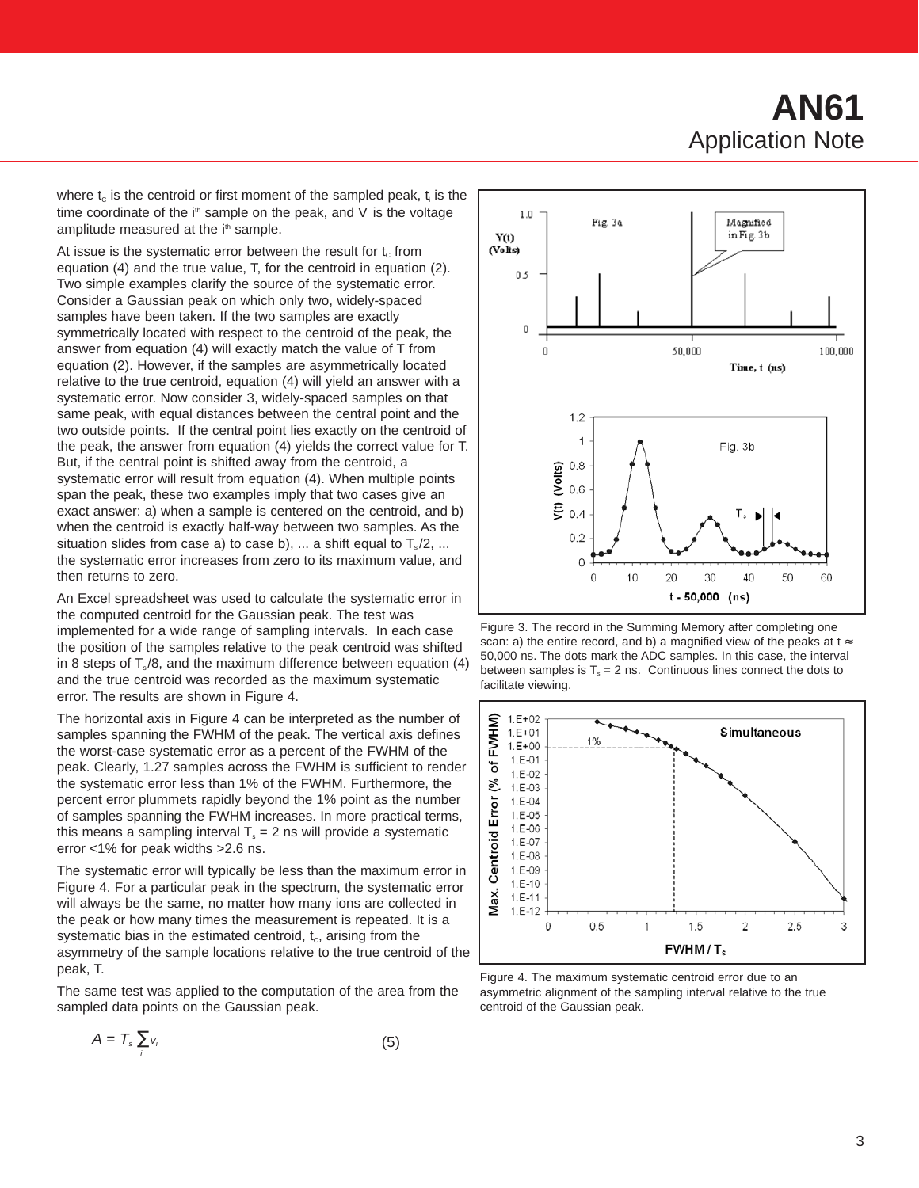# **AN61** Application Note

where  $t_c$  is the centroid or first moment of the sampled peak,  $t_i$  is the time coordinate of the  $i<sup>th</sup>$  sample on the peak, and  $V_i$  is the voltage amplitude measured at the i<sup>th</sup> sample.

At issue is the systematic error between the result for  $t_c$  from equation (4) and the true value, T, for the centroid in equation (2). Two simple examples clarify the source of the systematic error. Consider a Gaussian peak on which only two, widely-spaced samples have been taken. If the two samples are exactly symmetrically located with respect to the centroid of the peak, the answer from equation (4) will exactly match the value of T from equation (2). However, if the samples are asymmetrically located relative to the true centroid, equation (4) will yield an answer with a systematic error. Now consider 3, widely-spaced samples on that same peak, with equal distances between the central point and the two outside points. If the central point lies exactly on the centroid of the peak, the answer from equation (4) yields the correct value for T. But, if the central point is shifted away from the centroid, a systematic error will result from equation (4). When multiple points span the peak, these two examples imply that two cases give an exact answer: a) when a sample is centered on the centroid, and b) when the centroid is exactly half-way between two samples. As the situation slides from case a) to case b), ... a shift equal to  $T_s/2$ , ... the systematic error increases from zero to its maximum value, and then returns to zero.

An Excel spreadsheet was used to calculate the systematic error in the computed centroid for the Gaussian peak. The test was implemented for a wide range of sampling intervals. In each case the position of the samples relative to the peak centroid was shifted in 8 steps of  $T_s / 8$ , and the maximum difference between equation (4) and the true centroid was recorded as the maximum systematic error. The results are shown in Figure 4.

The horizontal axis in Figure 4 can be interpreted as the number of samples spanning the FWHM of the peak. The vertical axis defines the worst-case systematic error as a percent of the FWHM of the peak. Clearly, 1.27 samples across the FWHM is sufficient to render the systematic error less than 1% of the FWHM. Furthermore, the percent error plummets rapidly beyond the 1% point as the number of samples spanning the FWHM increases. In more practical terms, this means a sampling interval  $T_s = 2$  ns will provide a systematic error <1% for peak widths >2.6 ns.

The systematic error will typically be less than the maximum error in Figure 4. For a particular peak in the spectrum, the systematic error will always be the same, no matter how many ions are collected in the peak or how many times the measurement is repeated. It is a systematic bias in the estimated centroid,  $t_c$ , arising from the asymmetry of the sample locations relative to the true centroid of the peak, T.

The same test was applied to the computation of the area from the sampled data points on the Gaussian peak.

$$
A = T_s \sum_i v_i \tag{5}
$$



Figure 3. The record in the Summing Memory after completing one scan: a) the entire record, and b) a magnified view of the peaks at  $t \approx$ 50,000 ns. The dots mark the ADC samples. In this case, the interval between samples is  $T_s = 2$  ns. Continuous lines connect the dots to facilitate viewing.



Figure 4. The maximum systematic centroid error due to an asymmetric alignment of the sampling interval relative to the true centroid of the Gaussian peak.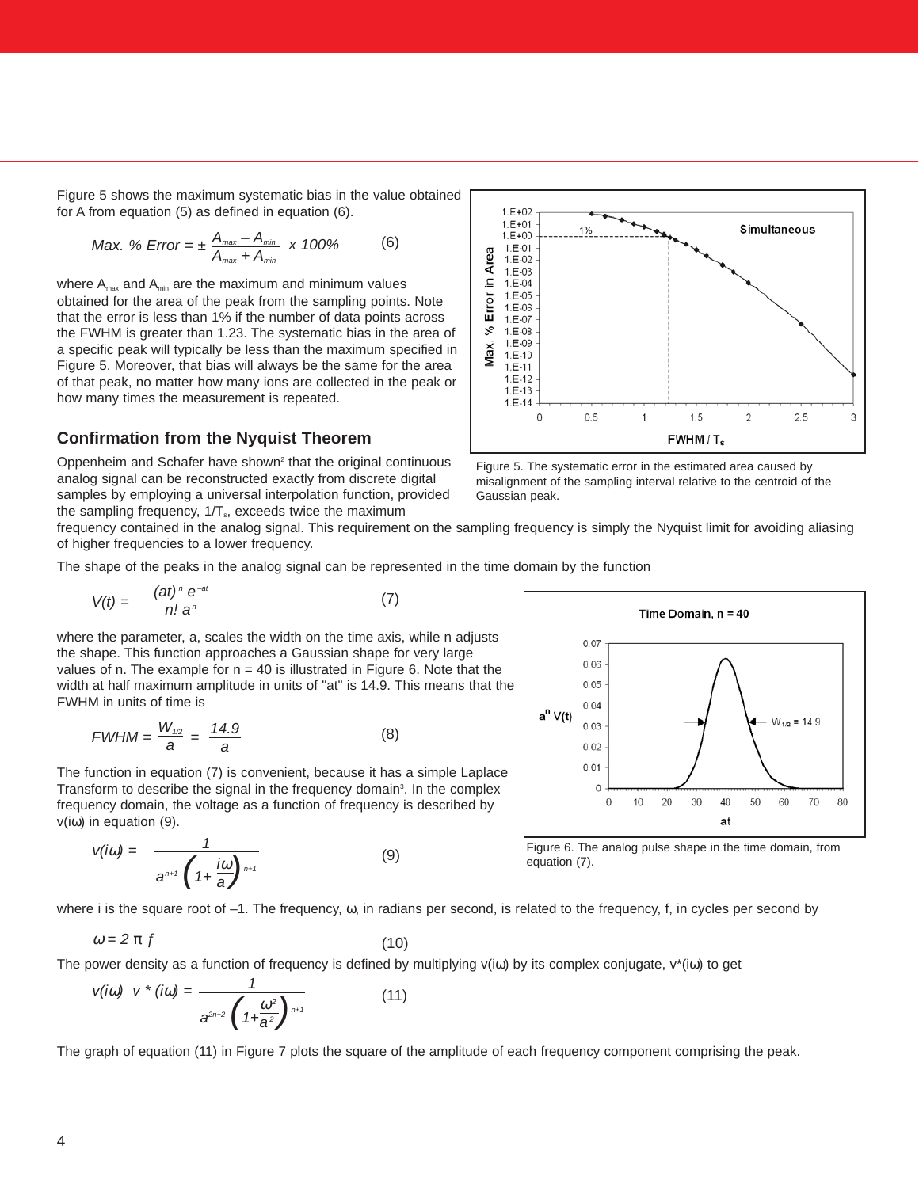Figure 5 shows the maximum systematic bias in the value obtained for A from equation (5) as defined in equation (6).

$$
Max. % Error = \pm \frac{A_{max} - A_{min}}{A_{max} + A_{min}} \times 100\% \tag{6}
$$

where  $A_{\text{max}}$  and  $A_{\text{min}}$  are the maximum and minimum values obtained for the area of the peak from the sampling points. Note that the error is less than 1% if the number of data points across the FWHM is greater than 1.23. The systematic bias in the area of a specific peak will typically be less than the maximum specified in Figure 5. Moreover, that bias will always be the same for the area of that peak, no matter how many ions are collected in the peak or how many times the measurement is repeated.

## **Confirmation from the Nyquist Theorem**

Oppenheim and Schafer have shown<sup>2</sup> that the original continuous analog signal can be reconstructed exactly from discrete digital samples by employing a universal interpolation function, provided the sampling frequency,  $1/T_s$ , exceeds twice the maximum



Figure 5. The systematic error in the estimated area caused by misalignment of the sampling interval relative to the centroid of the Gaussian peak.

frequency contained in the analog signal. This requirement on the sampling frequency is simply the Nyquist limit for avoiding aliasing of higher frequencies to a lower frequency.

The shape of the peaks in the analog signal can be represented in the time domain by the function

$$
V(t) = \frac{(\mathbf{a}t)^n \, \mathbf{e}^{-\mathbf{a}t}}{n! \, \mathbf{a}^n} \tag{7}
$$

where the parameter, a, scales the width on the time axis, while n adjusts the shape. This function approaches a Gaussian shape for very large values of n. The example for  $n = 40$  is illustrated in Figure 6. Note that the width at half maximum amplitude in units of "at" is 14.9. This means that the FWHM in units of time is

$$
FWHM = \frac{W_{1/2}}{a} = \frac{14.9}{a}
$$
 (8)

The function in equation (7) is convenient, because it has a simple Laplace Transform to describe the signal in the frequency domain<sup>3</sup>. In the complex frequency domain, the voltage as a function of frequency is described by v(iω) in equation (9).

$$
v(i\omega) = \frac{1}{a^{n+1} \left(1 + \frac{i\omega}{a}\right)^{n+1}}
$$
 (9) Figure 6. The equation (7).



Figure 6. The analog pulse shape in the time domain, from

where i is the square root of  $-1$ . The frequency,  $\omega$ , in radians per second, is related to the frequency, f, in cycles per second by

$$
\omega = 2 \pi f \tag{10}
$$

The power density as a function of frequency is defined by multiplying  $v(i\omega)$  by its complex conjugate,  $v^*(i\omega)$  to get

$$
v(i\omega) \quad v^* \left(i\omega\right) = \frac{1}{a^{2n+2} \left(1 + \frac{\omega^2}{a^2}\right)^{n+1}} \tag{11}
$$

The graph of equation (11) in Figure 7 plots the square of the amplitude of each frequency component comprising the peak.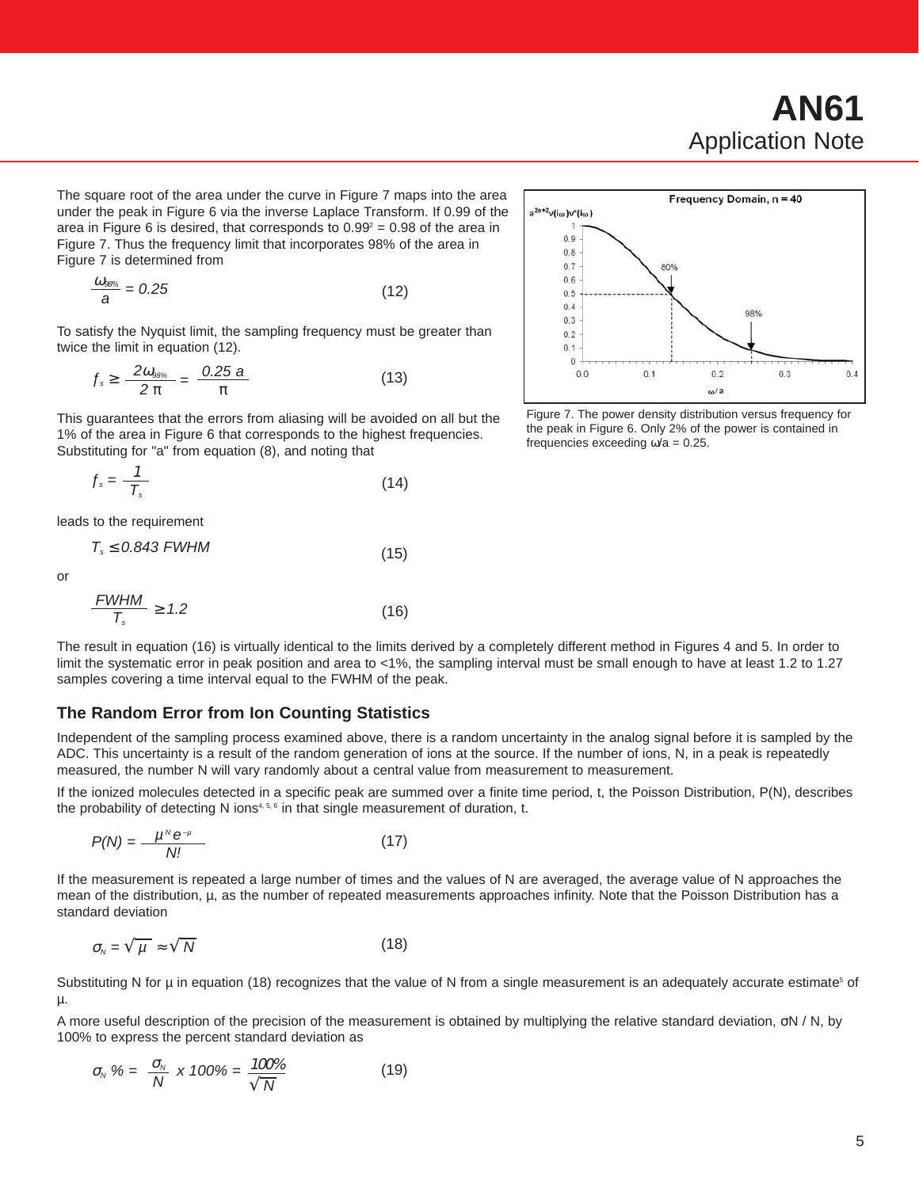The square root of the area under the curve in Figure 7 maps into the area under the peak in Figure 6 via the inverse Laplace Transform. If 0.99 of the area in Figure 6 is desired, that corresponds to  $0.99^2 = 0.98$  of the area in Figure 7. Thus the frequency limit that incorporates 98% of the area in Figure 7 is determined from

$$
\frac{\omega_{\text{ss}\text{s}}}{a} = 0.25\tag{12}
$$

To satisfy the Nyquist limit, the sampling frequency must be greater than twice the limit in equation (12).

$$
f_{s} \geq \frac{2\omega_{98\%}}{2\pi} = \frac{0.25\,\text{a}}{\pi} \tag{13}
$$

This guarantees that the errors from aliasing will be avoided on all but the 1% of the area in Figure 6 that corresponds to the highest frequencies. Substituting for "a" from equation (8), and noting that

$$
f_s = \frac{1}{T_s} \tag{14}
$$

leads to the requirement

$$
T_s \le 0.843 \text{ FWHM} \tag{15}
$$

or

$$
\frac{FWHM}{T_s} \ge 1.2\tag{16}
$$



Figure 7. The power density distribution versus frequency for the peak in Figure 6. Only 2% of the power is contained in frequencies exceeding  $\omega/a = 0.25$ .

The result in equation (16) is virtually identical to the limits derived by a completely different method in Figures 4 and 5. In order to limit the systematic error in peak position and area to <1%, the sampling interval must be small enough to have at least 1.2 to 1.27 samples covering a time interval equal to the FWHM of the peak.

### **The Random Error from Ion Counting Statistics**

Independent of the sampling process examined above, there is a random uncertainty in the analog signal before it is sampled by the ADC. This uncertainty is a result of the random generation of ions at the source. If the number of ions, N, in a peak is repeatedly measured, the number N will vary randomly about a central value from measurement to measurement.

If the ionized molecules detected in a specific peak are summed over a finite time period, t, the Poisson Distribution, P(N), describes the probability of detecting N ions<sup>4, 5, 6</sup> in that single measurement of duration, t.

$$
P(N) = \frac{\mu^N e^{-\mu}}{N!}
$$
 (17)

If the measurement is repeated a large number of times and the values of N are averaged, the average value of N approaches the mean of the distribution, µ, as the number of repeated measurements approaches infinity. Note that the Poisson Distribution has a standard deviation

$$
\sigma_{N} = \sqrt{\frac{\mu}{\mu}} \approx \sqrt{\frac{N}{N}}
$$
 (18)

Substituting N for  $\mu$  in equation (18) recognizes that the value of N from a single measurement is an adequately accurate estimate<sup>5</sup> of µ.

A more useful description of the precision of the measurement is obtained by multiplying the relative standard deviation, σN / N, by 100% to express the percent standard deviation as

$$
\sigma_{N} \mathcal{U} = \frac{\sigma_{N}}{N} \times 100\% = \frac{100\%}{\sqrt{N}}
$$
(19)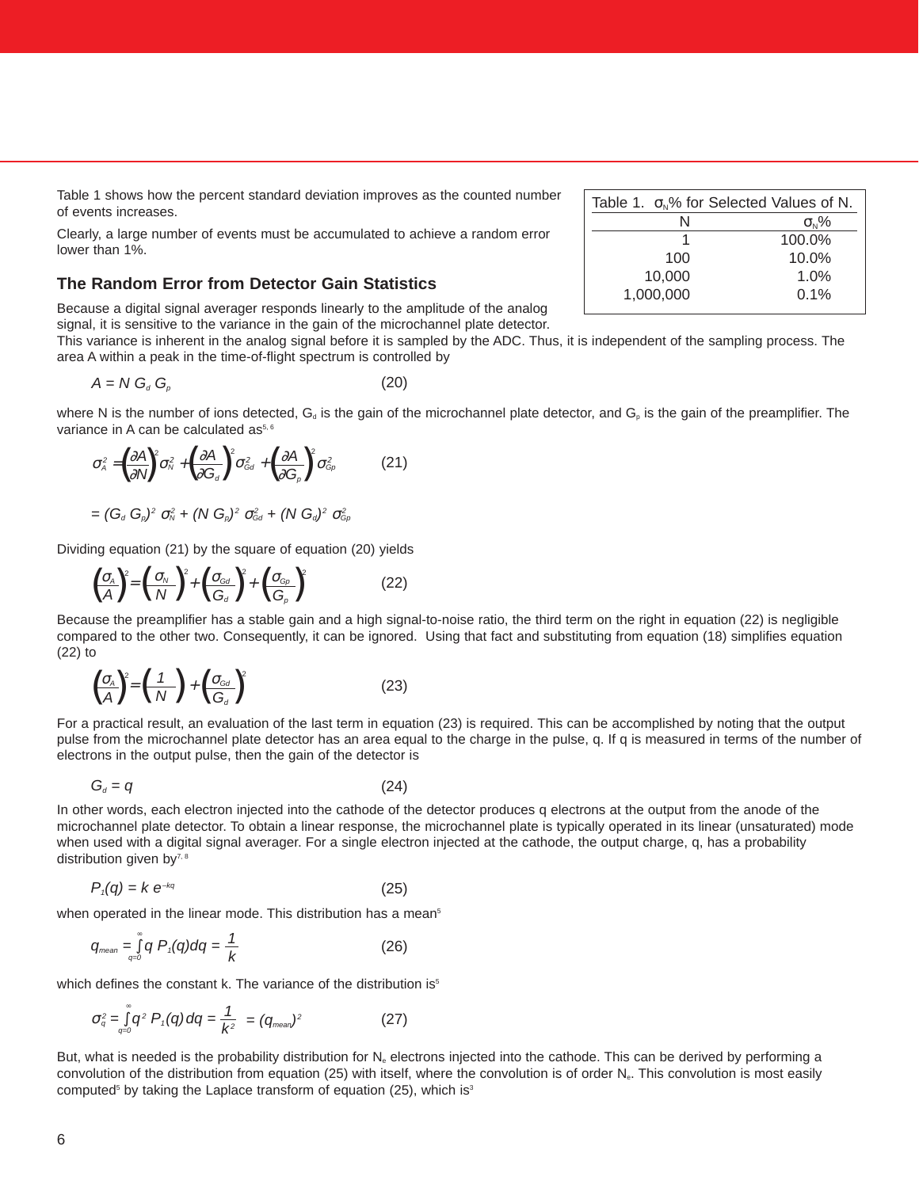Table 1 shows how the percent standard deviation improves as the counted number of events increases.

Clearly, a large number of events must be accumulated to achieve a random error lower than 1%.

## **The Random Error from Detector Gain Statistics**

Because a digital signal averager responds linearly to the amplitude of the analog signal, it is sensitive to the variance in the gain of the microchannel plate detector.

This variance is inherent in the analog signal before it is sampled by the ADC. Thus, it is independent of the sampling process. The area A within a peak in the time-of-flight spectrum is controlled by

$$
A = N G_d G_p \tag{20}
$$

where N is the number of ions detected,  $G_d$  is the gain of the microchannel plate detector, and  $G_p$  is the gain of the preamplifier. The variance in A can be calculated as<sup> $5, 6$ </sup>

$$
\sigma_A^2 = \left(\frac{\partial A}{\partial N}\right)^2 \sigma_N^2 + \left(\frac{\partial A}{\partial G_d}\right)^2 \sigma_{Gd}^2 + \left(\frac{\partial A}{\partial G_p}\right)^2 \sigma_{Gp}^2 \tag{21}
$$

$$
= (G_a \ G_p)^2 \ \sigma_N^2 + (N \ G_p)^2 \ \sigma_{Gd}^2 + (N \ G_d)^2 \ \sigma_{Gp}^2
$$

Dividing equation (21) by the square of equation (20) yields

$$
\left(\frac{\sigma_{A}}{A}\right)^{2} = \left(\frac{\sigma_{N}}{N}\right)^{2} + \left(\frac{\sigma_{Gal}}{G_{d}}\right)^{2} + \left(\frac{\sigma_{G_{D}}}{G_{p}}\right)^{2}
$$
\n(22)

Because the preamplifier has a stable gain and a high signal-to-noise ratio, the third term on the right in equation (22) is negligible compared to the other two. Consequently, it can be ignored. Using that fact and substituting from equation (18) simplifies equation (22) to

$$
\left(\frac{\sigma_{A}}{A}\right)^{2} = \left(\frac{1}{N}\right) + \left(\frac{\sigma_{\text{Gd}}}{G_{d}}\right)^{2}
$$
\n(23)

For a practical result, an evaluation of the last term in equation (23) is required. This can be accomplished by noting that the output pulse from the microchannel plate detector has an area equal to the charge in the pulse, q. If q is measured in terms of the number of electrons in the output pulse, then the gain of the detector is

$$
G_d = q \tag{24}
$$

In other words, each electron injected into the cathode of the detector produces q electrons at the output from the anode of the microchannel plate detector. To obtain a linear response, the microchannel plate is typically operated in its linear (unsaturated) mode when used with a digital signal averager. For a single electron injected at the cathode, the output charge, q, has a probability distribution given by7, 8

$$
P_{\eta}(q) = k e^{-kq} \tag{25}
$$

when operated in the linear mode. This distribution has a mean<sup>5</sup>

$$
q_{\text{mean}} = \int_{q=0}^{\infty} q \, P_{\text{t}}(q) dq = \frac{1}{k} \tag{26}
$$

which defines the constant k. The variance of the distribution is<sup>5</sup>

$$
\sigma_q^2 = \int_{q=0}^{\infty} q^2 P_q(q) dq = \frac{1}{k^2} = (q_{\text{mean}})^2
$$
 (27)

But, what is needed is the probability distribution for  $N_e$  electrons injected into the cathode. This can be derived by performing a convolution of the distribution from equation (25) with itself, where the convolution is of order N<sub>e</sub>. This convolution is most easily computed<sup>5</sup> by taking the Laplace transform of equation (25), which is<sup>3</sup>

| Table 1. $\sigma_{N}$ % for Selected Values of N. |                |  |
|---------------------------------------------------|----------------|--|
| N                                                 | $\sigma_{N}$ % |  |
|                                                   | 100.0%         |  |
| 100                                               | $10.0\%$       |  |
| 10.000                                            | $1.0\%$        |  |
| 1,000,000                                         | 0.1%           |  |
|                                                   |                |  |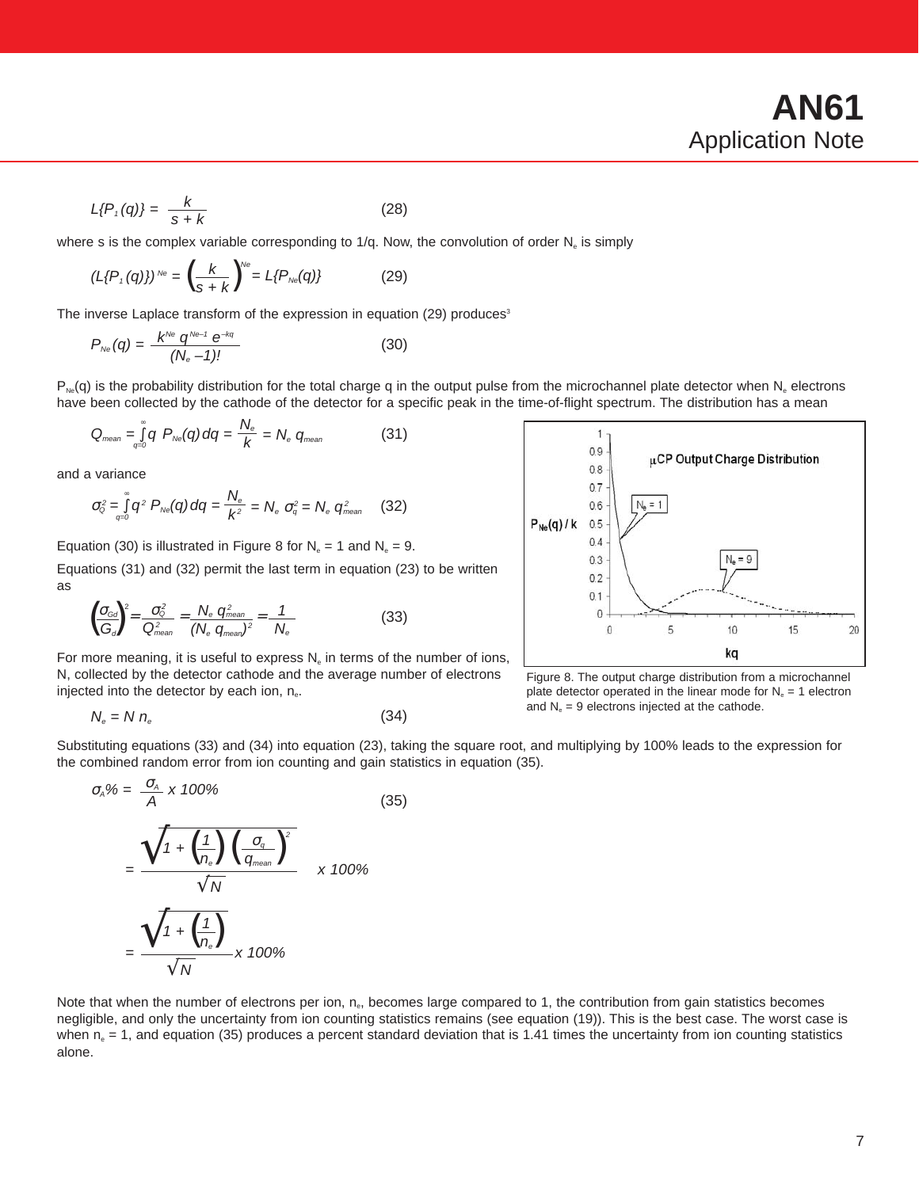$$
L\{P,(q)\} = \frac{k}{s+k} \tag{28}
$$

where s is the complex variable corresponding to 1/q. Now, the convolution of order  $N_e$  is simply

$$
(L\{P,(q)\})^{\text{Ne}} = \left(\frac{k}{s+k}\right)^{\text{Ne}} = L\{P_{\text{Ne}}(q)\} \tag{29}
$$

The inverse Laplace transform of the expression in equation (29) produces<sup>3</sup>

$$
P_{N_{\Theta}}(q) = \frac{k^{N_{\Theta}} q^{N_{\Theta}-1} e^{-kq}}{(N_{\Theta}-1)!}
$$
\n(30)

 $P_{Ne}(q)$  is the probability distribution for the total charge q in the output pulse from the microchannel plate detector when N<sub>e</sub> electrons have been collected by the cathode of the detector for a specific peak in the time-of-flight spectrum. The distribution has a mean

$$
Q_{\text{mean}} = \int_{q=0}^{\infty} q \ P_{\text{Ne}}(q) \, dq = \frac{N_e}{k} = N_e \ q_{\text{mean}}
$$
 (31)

and a variance

$$
\sigma_{\scriptscriptstyle{Q}}^2 = \int\limits_{q=0}^{\infty} q^2 \ P_{\scriptscriptstyle{N\!e}}(q) \, dq = \frac{N_e}{k^2} = N_e \ \sigma_q^2 = N_e \ q_{\scriptscriptstyle{mean}}^2 \quad (32)
$$

Equation (30) is illustrated in Figure 8 for  $N_e = 1$  and  $N_e = 9$ .

Equations (31) and (32) permit the last term in equation (23) to be written as

$$
\left(\frac{\sigma_{\text{Gd}}}{G_d}\right)^2 = \frac{\sigma_{\text{G}}^2}{Q_{\text{mean}}^2} = \frac{N_e}{(N_e} \frac{q_{\text{mean}}^2}{q_{\text{mean}}^2)^2} = \frac{1}{N_e}
$$
(33)

For more meaning, it is useful to express  $N_e$  in terms of the number of ions, N, collected by the detector cathode and the average number of electrons injected into the detector by each ion,  $n_{e}$ .

$$
N_e = N n_e \tag{34}
$$



Figure 8. The output charge distribution from a microchannel plate detector operated in the linear mode for  $N_e = 1$  electron and  $N_e = 9$  electrons injected at the cathode.

Substituting equations (33) and (34) into equation (23), taking the square root, and multiplying by 100% leads to the expression for the combined random error from ion counting and gain statistics in equation (35).

$$
\sigma_{A}\% = \frac{\sigma_{A}}{A} \times 100\%
$$
\n
$$
= \frac{\sqrt{1 + \left(\frac{1}{n_{e}}\right)\left(\frac{\sigma_{q}}{q_{\text{mean}}}\right)^{2}}}{\sqrt{N}} \times 100\%
$$
\n
$$
= \frac{\sqrt{1 + \left(\frac{1}{n_{e}}\right)}}{\sqrt{N}} \times 100\%
$$
\n(35)

Note that when the number of electrons per ion,  $n_e$ , becomes large compared to 1, the contribution from gain statistics becomes negligible, and only the uncertainty from ion counting statistics remains (see equation (19)). This is the best case. The worst case is when  $n_e = 1$ , and equation (35) produces a percent standard deviation that is 1.41 times the uncertainty from ion counting statistics alone.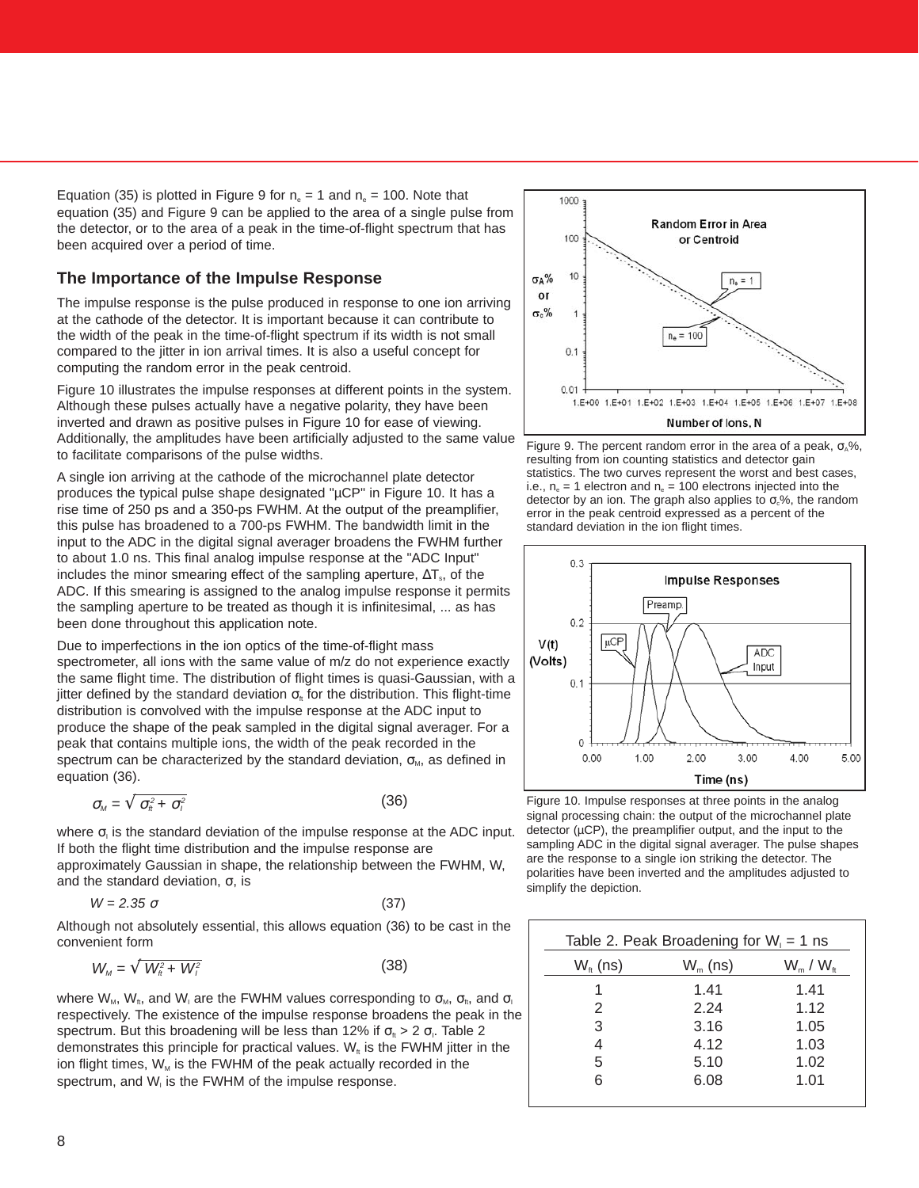Equation (35) is plotted in Figure 9 for  $n_e = 1$  and  $n_e = 100$ . Note that equation (35) and Figure 9 can be applied to the area of a single pulse from the detector, or to the area of a peak in the time-of-flight spectrum that has been acquired over a period of time.

## **The Importance of the Impulse Response**

The impulse response is the pulse produced in response to one ion arriving at the cathode of the detector. It is important because it can contribute to the width of the peak in the time-of-flight spectrum if its width is not small compared to the jitter in ion arrival times. It is also a useful concept for computing the random error in the peak centroid.

Figure 10 illustrates the impulse responses at different points in the system. Although these pulses actually have a negative polarity, they have been inverted and drawn as positive pulses in Figure 10 for ease of viewing. Additionally, the amplitudes have been artificially adjusted to the same value to facilitate comparisons of the pulse widths.

A single ion arriving at the cathode of the microchannel plate detector produces the typical pulse shape designated "µCP" in Figure 10. It has a rise time of 250 ps and a 350-ps FWHM. At the output of the preamplifier, this pulse has broadened to a 700-ps FWHM. The bandwidth limit in the input to the ADC in the digital signal averager broadens the FWHM further to about 1.0 ns. This final analog impulse response at the "ADC Input" includes the minor smearing effect of the sampling aperture,  $\Delta T_s$ , of the ADC. If this smearing is assigned to the analog impulse response it permits the sampling aperture to be treated as though it is infinitesimal, ... as has been done throughout this application note.

Due to imperfections in the ion optics of the time-of-flight mass spectrometer, all ions with the same value of m/z do not experience exactly the same flight time. The distribution of flight times is quasi-Gaussian, with a jitter defined by the standard deviation  $\sigma_{\text{ft}}$  for the distribution. This flight-time distribution is convolved with the impulse response at the ADC input to produce the shape of the peak sampled in the digital signal averager. For a peak that contains multiple ions, the width of the peak recorded in the spectrum can be characterized by the standard deviation,  $\sigma_{M}$ , as defined in equation (36).

$$
\sigma_{\scriptscriptstyle M} = \sqrt{\sigma_{\scriptscriptstyle \hat{n}}^2 + \sigma_{\scriptscriptstyle \hat{l}}^2} \tag{36}
$$

where  $\sigma_i$  is the standard deviation of the impulse response at the ADC input. If both the flight time distribution and the impulse response are approximately Gaussian in shape, the relationship between the FWHM, W, and the standard deviation,  $σ$ , is

$$
W = 2.35 \sigma \tag{37}
$$

Although not absolutely essential, this allows equation (36) to be cast in the convenient form

$$
W_{\scriptscriptstyle M} = \sqrt{W_{\scriptscriptstyle \hat{n}}^2 + W_{\scriptscriptstyle \hat{l}}^2} \tag{38}
$$

where  $W_M$ ,  $W_{\text{ft}}$ , and  $W_{\text{I}}$  are the FWHM values corresponding to  $\sigma_M$ ,  $\sigma_{\text{ft}}$ , and  $\sigma_{\text{I}}$ respectively. The existence of the impulse response broadens the peak in the spectrum. But this broadening will be less than 12% if  $\sigma_{\text{ft}}$  > 2  $\sigma_{\text{p}}$ . Table 2 demonstrates this principle for practical values.  $W_t$  is the FWHM jitter in the ion flight times,  $W_M$  is the FWHM of the peak actually recorded in the spectrum, and  $W<sub>i</sub>$  is the FWHM of the impulse response.



Figure 9. The percent random error in the area of a peak,  $\sigma_A\%$ , resulting from ion counting statistics and detector gain statistics. The two curves represent the worst and best cases, i.e.,  $n_e = 1$  electron and  $n_e = 100$  electrons injected into the detector by an ion. The graph also applies to  $\sigma$ <sub>c</sub>%, the random error in the peak centroid expressed as a percent of the standard deviation in the ion flight times.



Figure 10. Impulse responses at three points in the analog signal processing chain: the output of the microchannel plate detector (µCP), the preamplifier output, and the input to the sampling ADC in the digital signal averager. The pulse shapes are the response to a single ion striking the detector. The polarities have been inverted and the amplitudes adjusted to simplify the depiction.

| Table 2. Peak Broadening for $W_i = 1$ ns |            |                   |
|-------------------------------------------|------------|-------------------|
| $W_{\text{ft}}$ (ns)                      | $W_m$ (ns) | $W_{m}$ / $W_{m}$ |
| 1                                         | 1.41       | 1.41              |
| 2                                         | 2.24       | 1.12              |
| 3                                         | 3.16       | 1.05              |
| 4                                         | 4.12       | 1.03              |
| 5                                         | 5.10       | 1.02              |
| 6                                         | 6.08       | 1.01              |
|                                           |            |                   |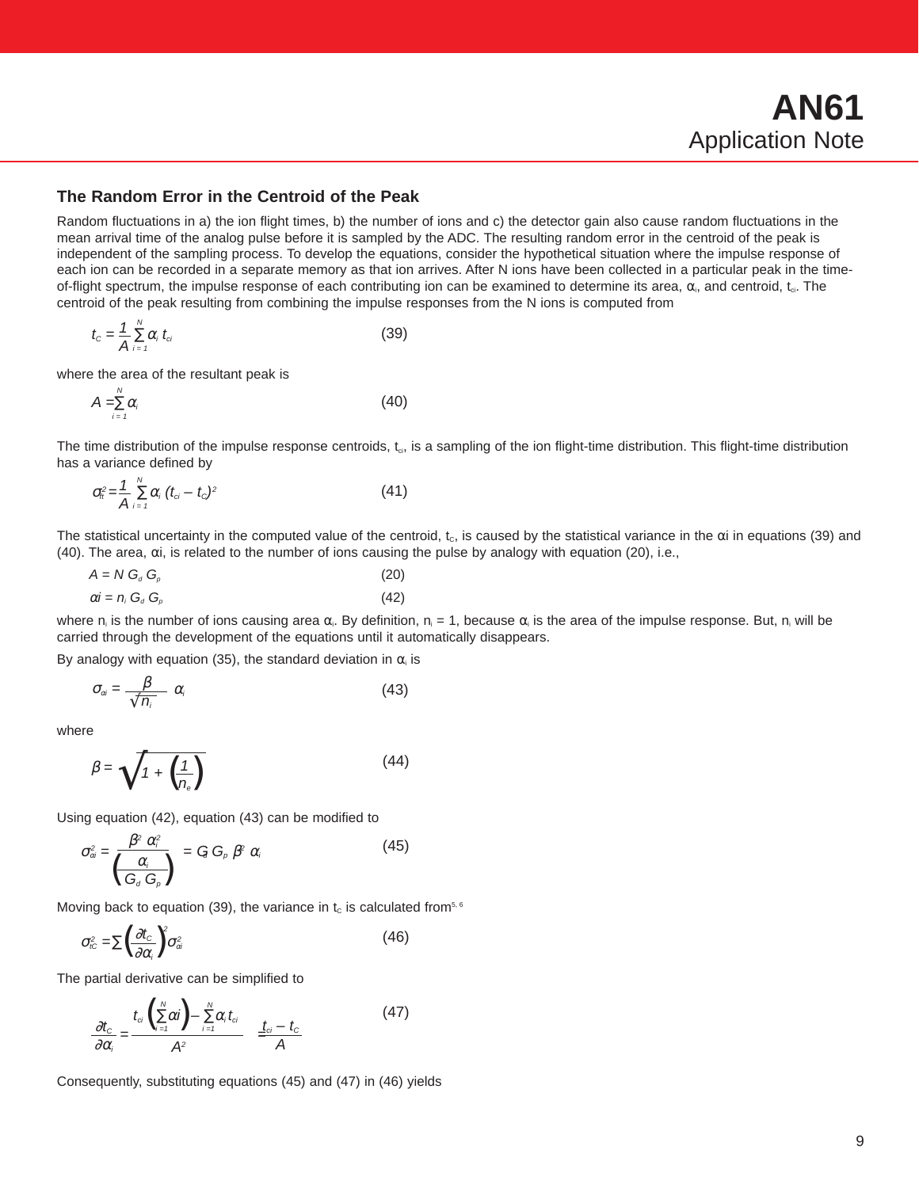### **The Random Error in the Centroid of the Peak**

Random fluctuations in a) the ion flight times, b) the number of ions and c) the detector gain also cause random fluctuations in the mean arrival time of the analog pulse before it is sampled by the ADC. The resulting random error in the centroid of the peak is independent of the sampling process. To develop the equations, consider the hypothetical situation where the impulse response of each ion can be recorded in a separate memory as that ion arrives. After N ions have been collected in a particular peak in the timeof-flight spectrum, the impulse response of each contributing ion can be examined to determine its area,  $\alpha_i$ , and centroid,  $t_{ci}$ . The centroid of the peak resulting from combining the impulse responses from the N ions is computed from

$$
t_c = \frac{1}{A} \sum_{i=1}^{N} \alpha_i \ t_{ci}
$$
 (39)

where the area of the resultant peak is

 $\lambda$ 

$$
A = \sum_{i=1}^{N} \alpha_i
$$
 (40)

The time distribution of the impulse response centroids, t<sub>ci</sub>, is a sampling of the ion flight-time distribution. This flight-time distribution has a variance defined by

$$
\sigma_{ti}^2 = \frac{1}{A} \sum_{i=1}^{N} \alpha_i (t_{ci} - t_c)^2
$$
 (41)

The statistical uncertainty in the computed value of the centroid,  $t_c$ , is caused by the statistical variance in the  $\alpha$ i in equations (39) and (40). The area, αi, is related to the number of ions causing the pulse by analogy with equation (20), i.e.,

$$
A = N Ga Gp
$$
\n
$$
\alpha i = n_i G_a G_p
$$
\n(20)\n(21)

where n<sub>i</sub> is the number of ions causing area α<sub>i</sub>. By definition, n<sub>i</sub> = 1, because α<sub>i</sub> is the area of the impulse response. But, n<sub>i</sub> will be carried through the development of the equations until it automatically disappears.

By analogy with equation (35), the standard deviation in  $\alpha$  is

$$
\sigma_{\alpha i} = \frac{\beta}{\sqrt{n_i}} \alpha_i \tag{43}
$$

where

$$
\beta = \sqrt{1 + \left(\frac{1}{n_{\rm e}}\right)}\tag{44}
$$

Using equation (42), equation (43) can be modified to

$$
\sigma_{\alpha}^{2} = \frac{\beta^{2} \alpha_{i}^{2}}{\left(\frac{\alpha_{i}}{G_{d} G_{\rho}}\right)} = G G_{\rho} \beta^{2} \alpha_{i}
$$
\n(45)

Moving back to equation (39), the variance in  $t_c$  is calculated from<sup>5, 6</sup>

$$
\sigma_{i\text{c}}^2 = \sum \left(\frac{\partial t_{\text{c}}}{\partial \alpha_i}\right)^2 \sigma_{\alpha i}^2 \tag{46}
$$

The partial derivative can be simplified to

$$
\frac{\partial t_{c}}{\partial \alpha_{i}} = \frac{t_{ci} \left(\sum_{i=1}^{N} \alpha_{i}\right) - \sum_{i=1}^{N} \alpha_{i} t_{ci}}{A^{2}} = \frac{t_{ci} - t_{c}}{A}
$$
(47)

Consequently, substituting equations (45) and (47) in (46) yields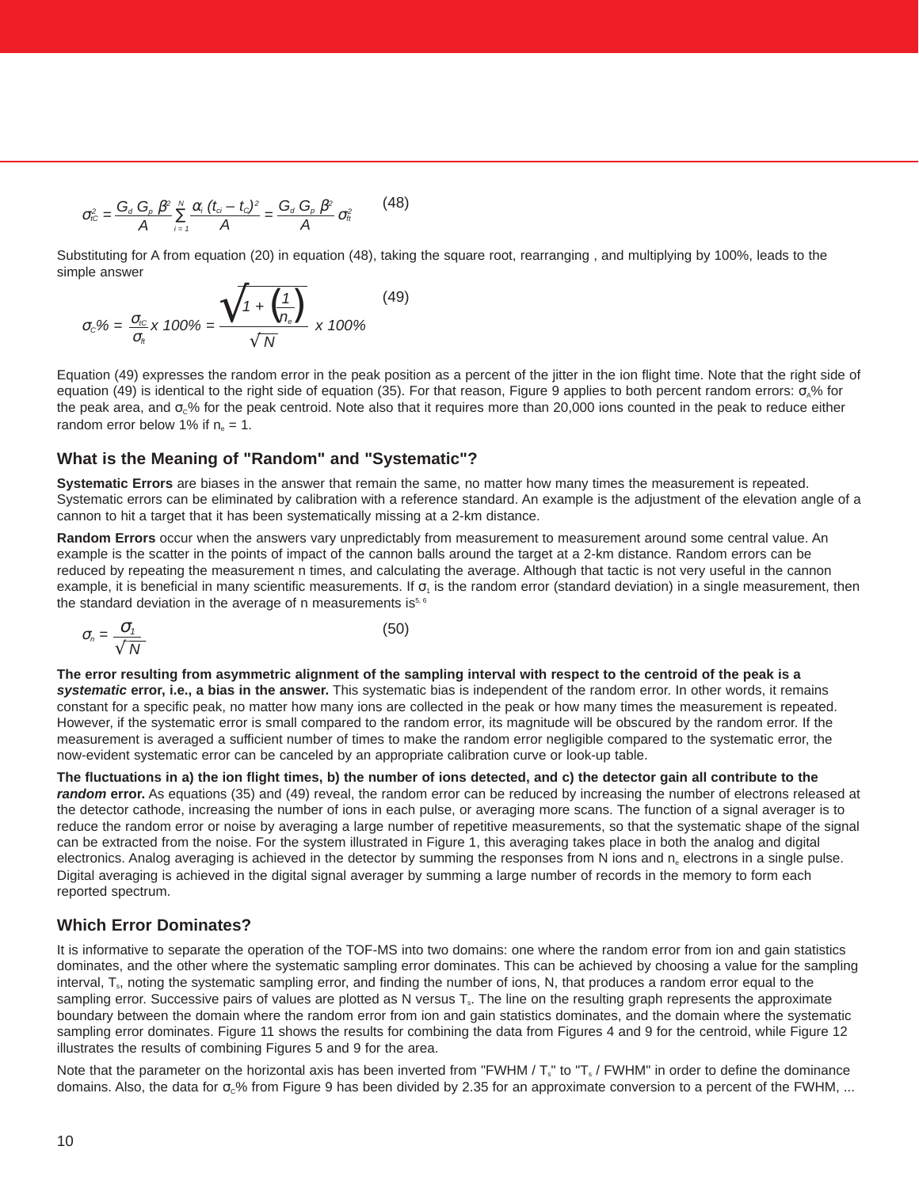$$
\sigma_{i\text{C}}^2 = \frac{G_a G_p \beta^2}{A} \sum_{i=1}^N \frac{\alpha_i (t_{ci} - t_{\text{C}})^2}{A} = \frac{G_a G_p \beta^2}{A} \sigma_{\text{n}}^2 \qquad (48)
$$

Substituting for A from equation (20) in equation (48), taking the square root, rearranging , and multiplying by 100%, leads to the simple answer

$$
\sigma_c\% = \frac{\sigma_{\text{nc}}}{\sigma_{\text{n}}} \times 100\% = \frac{\sqrt{1 + \left(\frac{1}{n_{\text{e}}}\right)}}{\sqrt{N}} \times 100\%
$$
\n(49)

Equation (49) expresses the random error in the peak position as a percent of the jitter in the ion flight time. Note that the right side of equation (49) is identical to the right side of equation (35). For that reason, Figure 9 applies to both percent random errors:  $σ<sub>a</sub>%$  for the peak area, and  $\sigma_0\%$  for the peak centroid. Note also that it requires more than 20,000 ions counted in the peak to reduce either random error below 1% if  $n_e = 1$ .

### **What is the Meaning of "Random" and "Systematic"?**

**Systematic Errors** are biases in the answer that remain the same, no matter how many times the measurement is repeated. Systematic errors can be eliminated by calibration with a reference standard. An example is the adjustment of the elevation angle of a cannon to hit a target that it has been systematically missing at a 2-km distance.

**Random Errors** occur when the answers vary unpredictably from measurement to measurement around some central value. An example is the scatter in the points of impact of the cannon balls around the target at a 2-km distance. Random errors can be reduced by repeating the measurement n times, and calculating the average. Although that tactic is not very useful in the cannon example, it is beneficial in many scientific measurements. If  $\sigma_1$  is the random error (standard deviation) in a single measurement, then the standard deviation in the average of n measurements is<sup>5, 6</sup>

$$
\sigma_n = \frac{\sigma_1}{\sqrt{N}} \tag{50}
$$

**The error resulting from asymmetric alignment of the sampling interval with respect to the centroid of the peak is a systematic error, i.e., a bias in the answer.** This systematic bias is independent of the random error. In other words, it remains constant for a specific peak, no matter how many ions are collected in the peak or how many times the measurement is repeated. However, if the systematic error is small compared to the random error, its magnitude will be obscured by the random error. If the measurement is averaged a sufficient number of times to make the random error negligible compared to the systematic error, the now-evident systematic error can be canceled by an appropriate calibration curve or look-up table.

**The fluctuations in a) the ion flight times, b) the number of ions detected, and c) the detector gain all contribute to the random error.** As equations (35) and (49) reveal, the random error can be reduced by increasing the number of electrons released at the detector cathode, increasing the number of ions in each pulse, or averaging more scans. The function of a signal averager is to reduce the random error or noise by averaging a large number of repetitive measurements, so that the systematic shape of the signal can be extracted from the noise. For the system illustrated in Figure 1, this averaging takes place in both the analog and digital electronics. Analog averaging is achieved in the detector by summing the responses from N ions and n<sub>e</sub> electrons in a single pulse. Digital averaging is achieved in the digital signal averager by summing a large number of records in the memory to form each reported spectrum.

## **Which Error Dominates?**

It is informative to separate the operation of the TOF-MS into two domains: one where the random error from ion and gain statistics dominates, and the other where the systematic sampling error dominates. This can be achieved by choosing a value for the sampling interval, T<sub>s</sub>, noting the systematic sampling error, and finding the number of ions, N, that produces a random error equal to the sampling error. Successive pairs of values are plotted as N versus T<sub>s</sub>. The line on the resulting graph represents the approximate boundary between the domain where the random error from ion and gain statistics dominates, and the domain where the systematic sampling error dominates. Figure 11 shows the results for combining the data from Figures 4 and 9 for the centroid, while Figure 12 illustrates the results of combining Figures 5 and 9 for the area.

Note that the parameter on the horizontal axis has been inverted from "FWHM /  $T_s$ " to "T<sub>s</sub> / FWHM" in order to define the dominance domains. Also, the data for  $\sigma_c$ % from Figure 9 has been divided by 2.35 for an approximate conversion to a percent of the FWHM, ...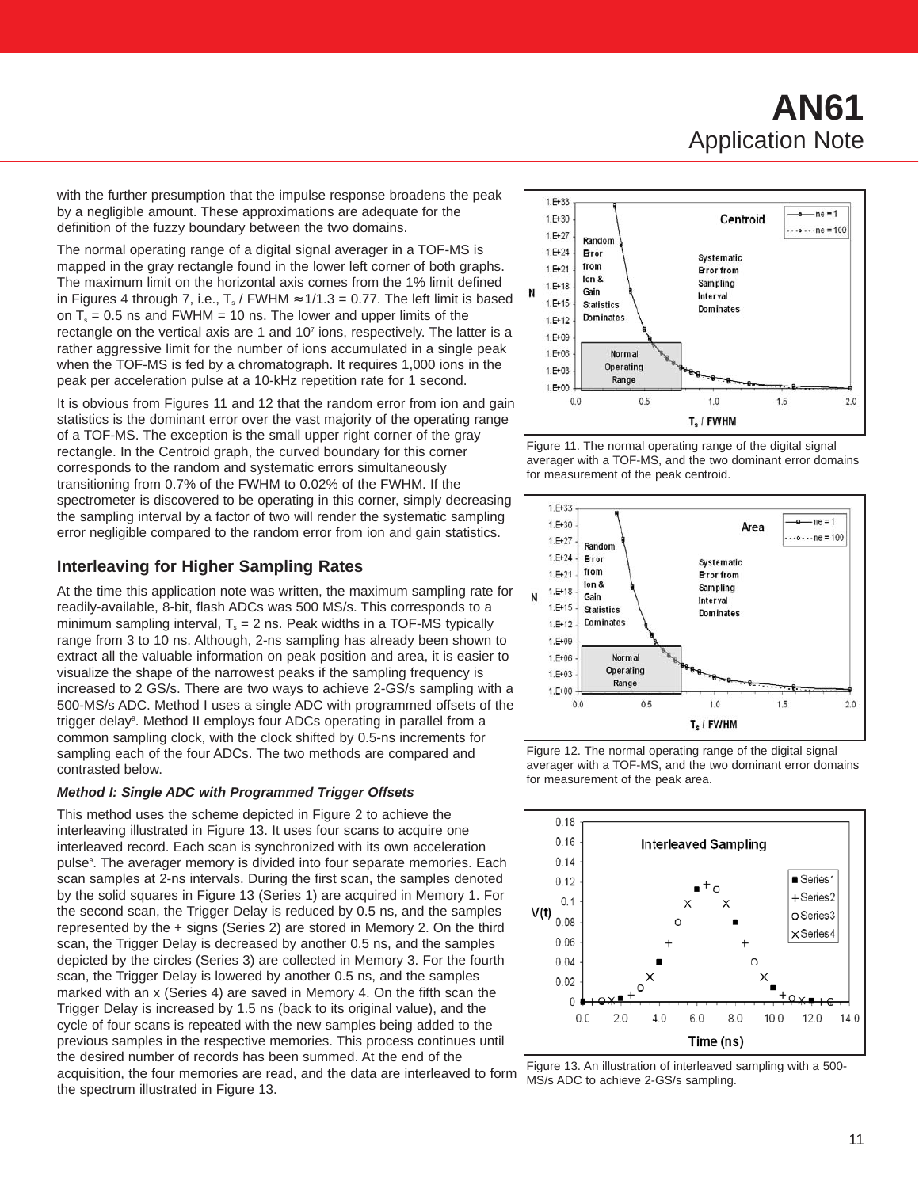# **AN61** Application Note

with the further presumption that the impulse response broadens the peak by a negligible amount. These approximations are adequate for the definition of the fuzzy boundary between the two domains.

The normal operating range of a digital signal averager in a TOF-MS is mapped in the gray rectangle found in the lower left corner of both graphs. The maximum limit on the horizontal axis comes from the 1% limit defined in Figures 4 through 7, i.e.,  $T_s$  / FWHM  $\approx$  1/1.3 = 0.77. The left limit is based on  $T_s$  = 0.5 ns and FWHM = 10 ns. The lower and upper limits of the rectangle on the vertical axis are 1 and  $10<sup>7</sup>$  ions, respectively. The latter is a rather aggressive limit for the number of ions accumulated in a single peak when the TOF-MS is fed by a chromatograph. It requires 1,000 ions in the peak per acceleration pulse at a 10-kHz repetition rate for 1 second.

It is obvious from Figures 11 and 12 that the random error from ion and gain statistics is the dominant error over the vast majority of the operating range of a TOF-MS. The exception is the small upper right corner of the gray rectangle. In the Centroid graph, the curved boundary for this corner corresponds to the random and systematic errors simultaneously transitioning from 0.7% of the FWHM to 0.02% of the FWHM. If the spectrometer is discovered to be operating in this corner, simply decreasing the sampling interval by a factor of two will render the systematic sampling error negligible compared to the random error from ion and gain statistics.

## **Interleaving for Higher Sampling Rates**

At the time this application note was written, the maximum sampling rate for readily-available, 8-bit, flash ADCs was 500 MS/s. This corresponds to a minimum sampling interval,  $T_s = 2$  ns. Peak widths in a TOF-MS typically range from 3 to 10 ns. Although, 2-ns sampling has already been shown to extract all the valuable information on peak position and area, it is easier to visualize the shape of the narrowest peaks if the sampling frequency is increased to 2 GS/s. There are two ways to achieve 2-GS/s sampling with a 500-MS/s ADC. Method I uses a single ADC with programmed offsets of the trigger delay<sup>9</sup>. Method II employs four ADCs operating in parallel from a common sampling clock, with the clock shifted by 0.5-ns increments for sampling each of the four ADCs. The two methods are compared and contrasted below.

#### **Method I: Single ADC with Programmed Trigger Offsets**

This method uses the scheme depicted in Figure 2 to achieve the interleaving illustrated in Figure 13. It uses four scans to acquire one interleaved record. Each scan is synchronized with its own acceleration pulse<sup>9</sup>. The averager memory is divided into four separate memories. Each scan samples at 2-ns intervals. During the first scan, the samples denoted by the solid squares in Figure 13 (Series 1) are acquired in Memory 1. For the second scan, the Trigger Delay is reduced by 0.5 ns, and the samples represented by the + signs (Series 2) are stored in Memory 2. On the third scan, the Trigger Delay is decreased by another 0.5 ns, and the samples depicted by the circles (Series 3) are collected in Memory 3. For the fourth scan, the Trigger Delay is lowered by another 0.5 ns, and the samples marked with an x (Series 4) are saved in Memory 4. On the fifth scan the Trigger Delay is increased by 1.5 ns (back to its original value), and the cycle of four scans is repeated with the new samples being added to the previous samples in the respective memories. This process continues until the desired number of records has been summed. At the end of the acquisition, the four memories are read, and the data are interleaved to form the spectrum illustrated in Figure 13.











Figure 13. An illustration of interleaved sampling with a 500- MS/s ADC to achieve 2-GS/s sampling.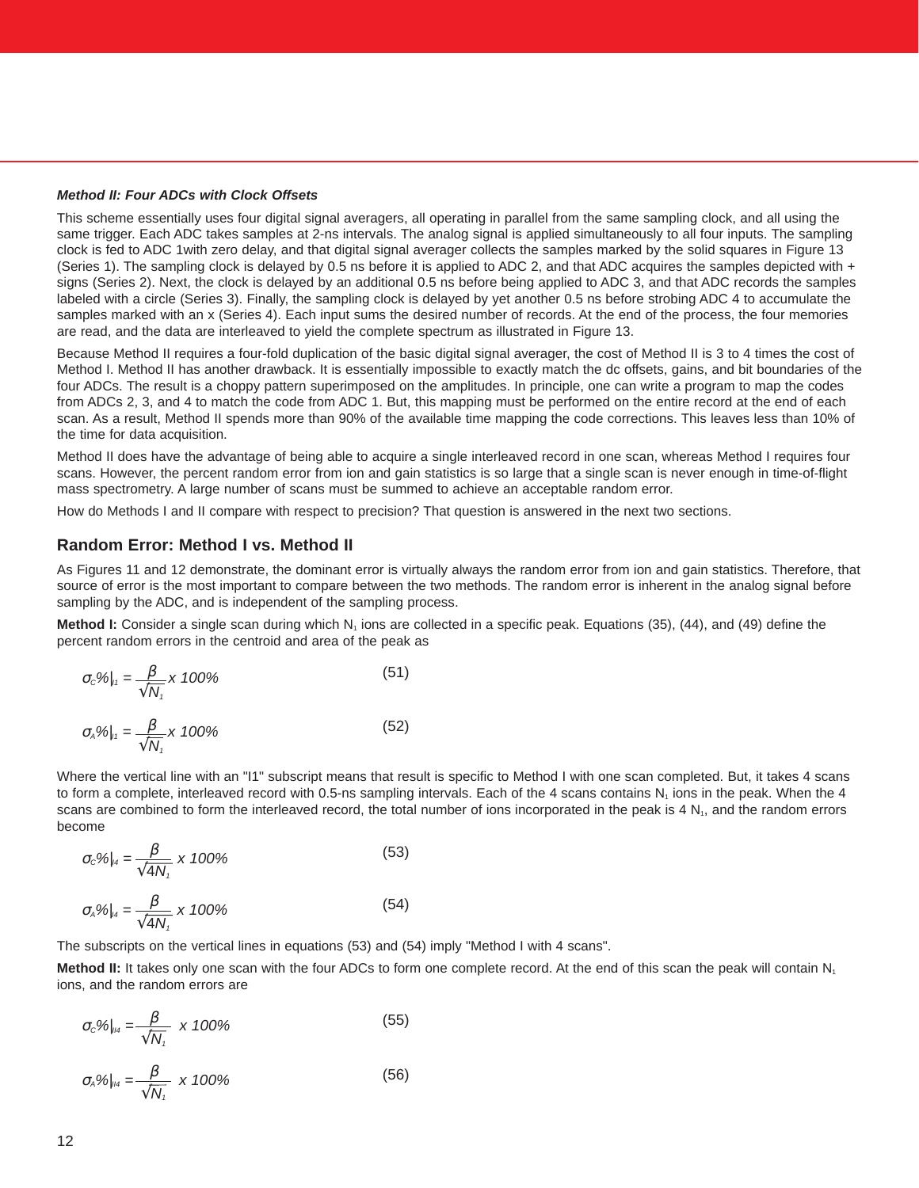#### **Method II: Four ADCs with Clock Offsets**

This scheme essentially uses four digital signal averagers, all operating in parallel from the same sampling clock, and all using the same trigger. Each ADC takes samples at 2-ns intervals. The analog signal is applied simultaneously to all four inputs. The sampling clock is fed to ADC 1 with zero delay, and that digital signal averager collects the samples marked by the solid squares in Figure 13 (Series 1). The sampling clock is delayed by 0.5 ns before it is applied to ADC 2, and that ADC acquires the samples depicted with + signs (Series 2). Next, the clock is delayed by an additional 0.5 ns before being applied to ADC 3, and that ADC records the samples labeled with a circle (Series 3). Finally, the sampling clock is delayed by yet another 0.5 ns before strobing ADC 4 to accumulate the samples marked with an x (Series 4). Each input sums the desired number of records. At the end of the process, the four memories are read, and the data are interleaved to yield the complete spectrum as illustrated in Figure 13.

Because Method II requires a four-fold duplication of the basic digital signal averager, the cost of Method II is 3 to 4 times the cost of Method I. Method II has another drawback. It is essentially impossible to exactly match the dc offsets, gains, and bit boundaries of the four ADCs. The result is a choppy pattern superimposed on the amplitudes. In principle, one can write a program to map the codes from ADCs 2, 3, and 4 to match the code from ADC 1. But, this mapping must be performed on the entire record at the end of each scan. As a result, Method II spends more than 90% of the available time mapping the code corrections. This leaves less than 10% of the time for data acquisition.

Method II does have the advantage of being able to acquire a single interleaved record in one scan, whereas Method I requires four scans. However, the percent random error from ion and gain statistics is so large that a single scan is never enough in time-of-flight mass spectrometry. A large number of scans must be summed to achieve an acceptable random error.

How do Methods I and II compare with respect to precision? That question is answered in the next two sections.

#### **Random Error: Method I vs. Method II**

 $\sqrt{\mathsf{N}_1}$ 

As Figures 11 and 12 demonstrate, the dominant error is virtually always the random error from ion and gain statistics. Therefore, that source of error is the most important to compare between the two methods. The random error is inherent in the analog signal before sampling by the ADC, and is independent of the sampling process.

**Method I:** Consider a single scan during which N<sub>1</sub> ions are collected in a specific peak. Equations (35), (44), and (49) define the percent random errors in the centroid and area of the peak as

$$
\sigma_c \%_{\parallel_{t}} = \frac{\beta}{\sqrt{N_t}} \times 100\%
$$
\n(51)

 $\sigma_{A} \%|_{11} = \frac{\beta}{\sqrt{2}} \times 100\%$  (52)

Where the vertical line with an "I1" subscript means that result is specific to Method I with one scan completed. But, it takes 4 scans to form a complete, interleaved record with 0.5-ns sampling intervals. Each of the 4 scans contains 
$$
N_1
$$
 ions in the peak. When the 4 scans are combined to form the interleaved record, the total number of ions incorporated in the peak is 4 N<sub>1</sub>, and the random errors become

$$
\sigma_c \%_{|A} = \frac{\beta}{\sqrt{4N_t}} \times 100\%
$$
\n(53)

$$
\sigma_{A} \%_{|A} = \frac{\beta}{\sqrt{4N_{\tau}}} \times 100\%
$$
 (54)

The subscripts on the vertical lines in equations (53) and (54) imply "Method I with 4 scans".

**Method II:** It takes only one scan with the four ADCs to form one complete record. At the end of this scan the peak will contain N<sub>1</sub> ions, and the random errors are

$$
\sigma_c\%_{\parallel_{H4}} = \frac{\beta}{\sqrt{N_\tau}} \times 100\%
$$
\n(55)

$$
\sigma_{A} \%_{\parallel_{H4}} = \frac{\beta}{\sqrt{N_{1}}} \times 100\%
$$
 (56)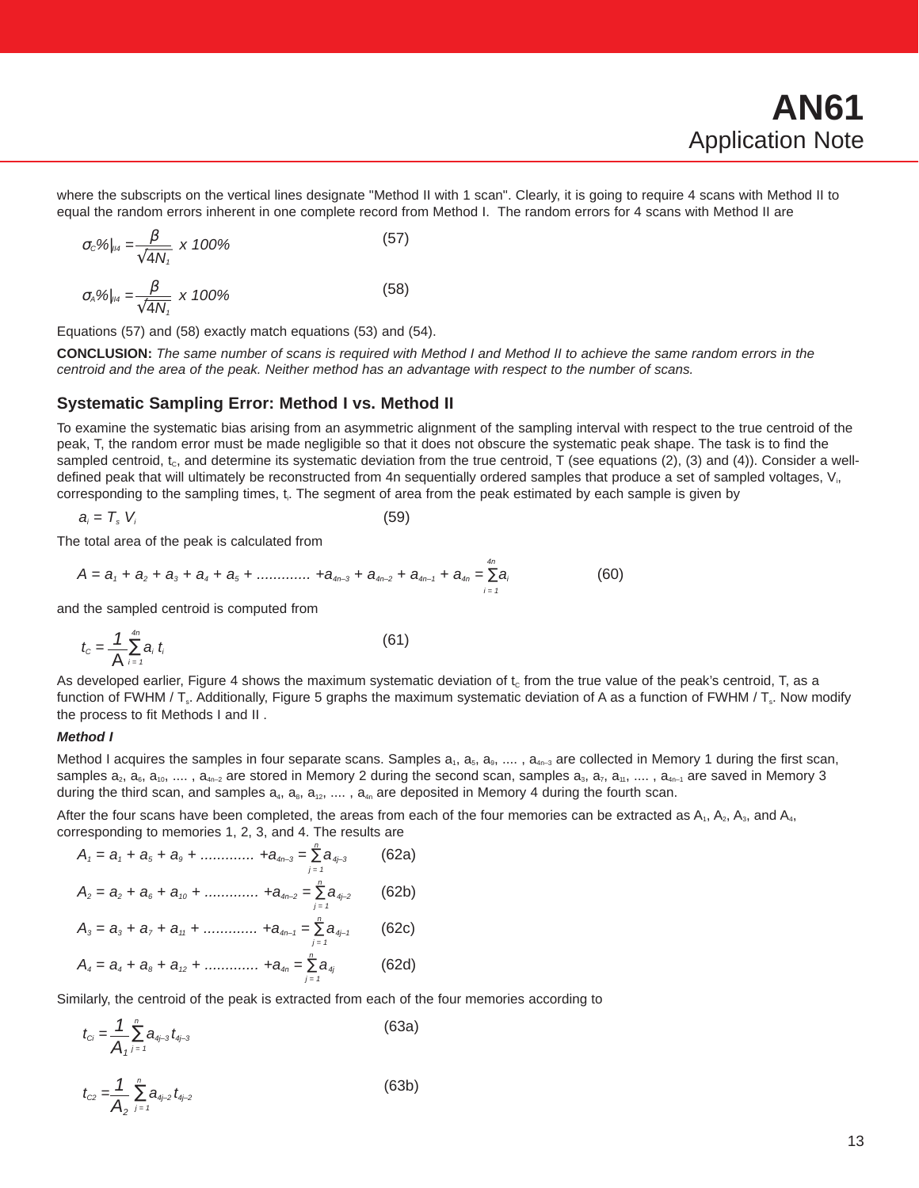where the subscripts on the vertical lines designate "Method II with 1 scan". Clearly, it is going to require 4 scans with Method II to equal the random errors inherent in one complete record from Method I. The random errors for 4 scans with Method II are

$$
\sigma_c \%_{\|_{H^4}} = \frac{\beta}{\sqrt{4N_\tau}} \times 100\%
$$
 (57)

$$
\sigma_{A} \%_{\|_{H4}} = \frac{\beta}{\sqrt{4N_{t}}} \times 100\%
$$
 (58)

Equations (57) and (58) exactly match equations (53) and (54).

**CONCLUSION:** The same number of scans is required with Method I and Method II to achieve the same random errors in the centroid and the area of the peak. Neither method has an advantage with respect to the number of scans.

#### **Systematic Sampling Error: Method I vs. Method II**

To examine the systematic bias arising from an asymmetric alignment of the sampling interval with respect to the true centroid of the peak, T, the random error must be made negligible so that it does not obscure the systematic peak shape. The task is to find the sampled centroid,  $t_c$ , and determine its systematic deviation from the true centroid, T (see equations (2), (3) and (4)). Consider a welldefined peak that will ultimately be reconstructed from 4n sequentially ordered samples that produce a set of sampled voltages, V<sub>i</sub>, corresponding to the sampling times, t. The segment of area from the peak estimated by each sample is given by

$$
a_i = T_s \ V_i \tag{59}
$$

The total area of the peak is calculated from

$$
A = a_1 + a_2 + a_3 + a_4 + a_5 + \dots + a_{4n-3} + a_{4n-2} + a_{4n-1} + a_{4n} = \sum_{i=1}^{4n} a_i
$$
 (60)

and the sampled centroid is computed from

$$
t_c = \frac{1}{\mathsf{A}} \sum_{i=1}^{4n} a_i \ t_i \tag{61}
$$

As developed earlier, Figure 4 shows the maximum systematic deviation of  $t_c$  from the true value of the peak's centroid, T, as a function of FWHM / T<sub>s</sub>. Additionally, Figure 5 graphs the maximum systematic deviation of A as a function of FWHM / T<sub>s</sub>. Now modify the process to fit Methods I and II .

#### **Method I**

Method I acquires the samples in four separate scans. Samples  $a_1$ ,  $a_5$ ,  $a_9$ ,  $\dots$ ,  $a_{4n-3}$  are collected in Memory 1 during the first scan, samples  $a_2$ ,  $a_6$ ,  $a_{10}$ , ....,  $a_{4n-2}$  are stored in Memory 2 during the second scan, samples  $a_3$ ,  $a_7$ ,  $a_{11}$ , ....,  $a_{4n-1}$  are saved in Memory 3 during the third scan, and samples  $a_4$ ,  $a_8$ ,  $a_{12}$ , ....,  $a_{4n}$  are deposited in Memory 4 during the fourth scan.

After the four scans have been completed, the areas from each of the four memories can be extracted as  $A_1$ ,  $A_2$ ,  $A_3$ , and  $A_4$ , corresponding to memories 1, 2, 3, and 4. The results are

$$
A_{1} = a_{1} + a_{5} + a_{9} + \dots + a_{4n-3} = \sum_{j=1}^{n} a_{4j-3}
$$
 (62a)  
\n
$$
A_{2} = a_{2} + a_{6} + a_{10} + \dots + a_{4n-2} = \sum_{j=1}^{n} a_{4j-2}
$$
 (62b)  
\n
$$
A_{3} = a_{3} + a_{7} + a_{11} + \dots + a_{4n-1} = \sum_{j=1}^{n} a_{4j-1}
$$
 (62c)  
\n
$$
A_{4} = a_{4} + a_{8} + a_{12} + \dots + a_{4n} = \sum_{j=1}^{n} a_{4j}
$$
 (62d)

Similarly, the centroid of the peak is extracted from each of the four memories according to

 $j = 1$ 

$$
t_{ci} = \frac{1}{A_i} \sum_{j=1}^{n} a_{4j-3} t_{4j-3}
$$
 (63a)

$$
t_{\rm cz} = \frac{1}{A_2} \sum_{j=1}^{n} a_{4j-2} t_{4j-2}
$$
 (63b)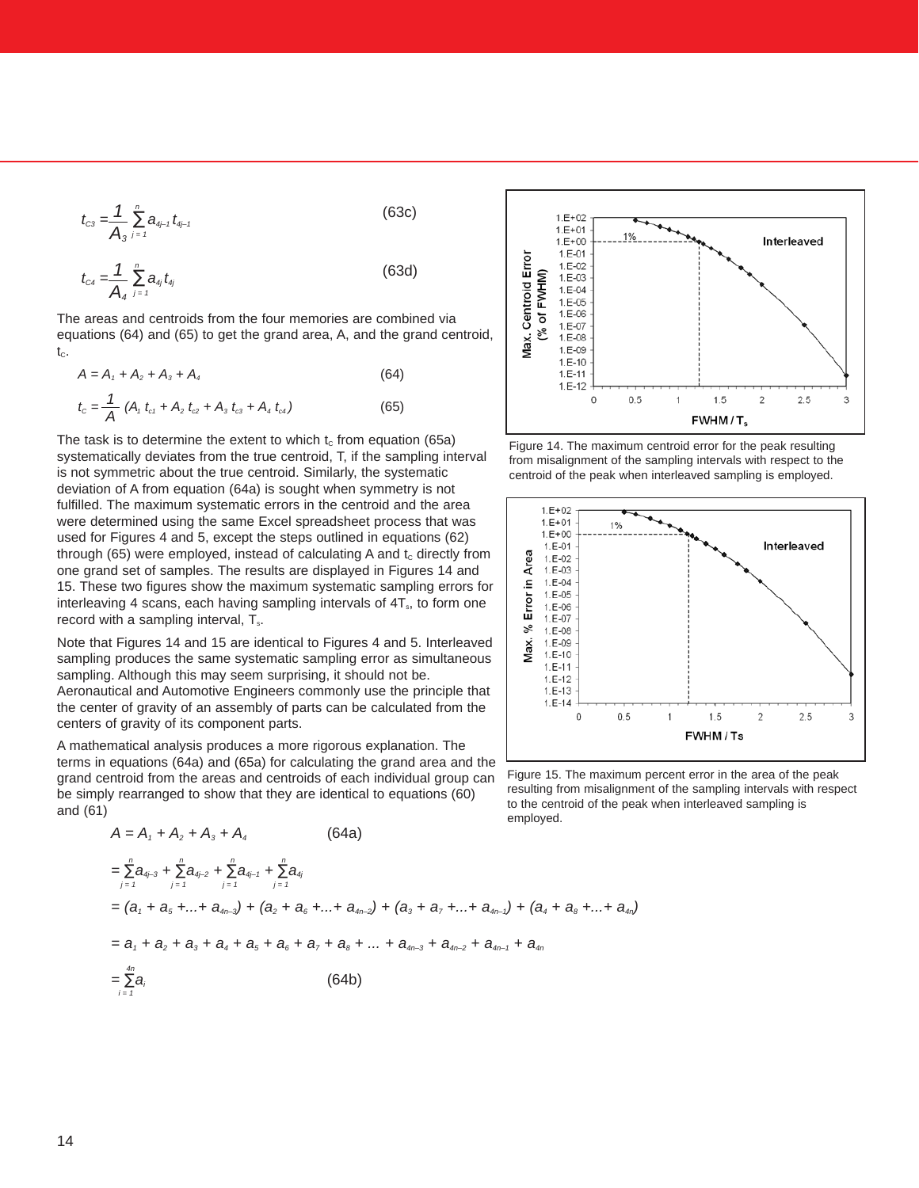$$
t_{c3} = \frac{1}{A_3} \sum_{j=1}^{n} a_{4j-1} t_{4j-1}
$$
 (63c)

$$
t_{c4} = \frac{1}{A_4} \sum_{j=1}^{n} a_{4j} t_{4j}
$$
 (63d)

The areas and centroids from the four memories are combined via equations (64) and (65) to get the grand area, A, and the grand centroid,  $t_c$ .

$$
A = A_1 + A_2 + A_3 + A_4 \tag{64}
$$

$$
t_c = \frac{1}{A} (A_t \ t_{c1} + A_2 \ t_{c2} + A_3 \ t_{c3} + A_4 \ t_{c4})
$$
 (65)

The task is to determine the extent to which  $t_c$  from equation (65a) systematically deviates from the true centroid, T, if the sampling interval is not symmetric about the true centroid. Similarly, the systematic deviation of A from equation (64a) is sought when symmetry is not fulfilled. The maximum systematic errors in the centroid and the area were determined using the same Excel spreadsheet process that was used for Figures 4 and 5, except the steps outlined in equations (62) through (65) were employed, instead of calculating A and  $t_c$  directly from one grand set of samples. The results are displayed in Figures 14 and 15. These two figures show the maximum systematic sampling errors for interleaving 4 scans, each having sampling intervals of  $4T_s$ , to form one record with a sampling interval,  $T_s$ .

Note that Figures 14 and 15 are identical to Figures 4 and 5. Interleaved sampling produces the same systematic sampling error as simultaneous sampling. Although this may seem surprising, it should not be. Aeronautical and Automotive Engineers commonly use the principle that the center of gravity of an assembly of parts can be calculated from the centers of gravity of its component parts.

A mathematical analysis produces a more rigorous explanation. The terms in equations (64a) and (65a) for calculating the grand area and the grand centroid from the areas and centroids of each individual group can be simply rearranged to show that they are identical to equations (60) and (61)

 $A = A_1 + A_2 + A_3 + A_4$  (64a)

$$
\sum_{j=1}^{n} a_{d_{j-3}} + \sum_{j=1}^{n} a_{d_{j-2}} + \sum_{j=1}^{n} a_{d_{j-1}} + \sum_{j=1}^{n} a_{d_j}
$$
  
=  $(a_1 + a_5 + ... + a_{4n-3}) + (a_2 + a_6 + ... + a_{4n-2}) + (a_3 + a_7 + ... + a_{4n-1}) + (a_4 + a_8 + ... + a_{4n})$   
=  $a_1 + a_2 + a_3 + a_4 + a_5 + a_6 + a_7 + a_8 + ... + a_{4n-3} + a_{4n-2} + a_{4n-1} + a_{4n}$   
=  $\sum_{i=1}^{4n} a_i$  (64b)



Figure 14. The maximum centroid error for the peak resulting from misalignment of the sampling intervals with respect to the centroid of the peak when interleaved sampling is employed.



Figure 15. The maximum percent error in the area of the peak resulting from misalignment of the sampling intervals with respect to the centroid of the peak when interleaved sampling is employed.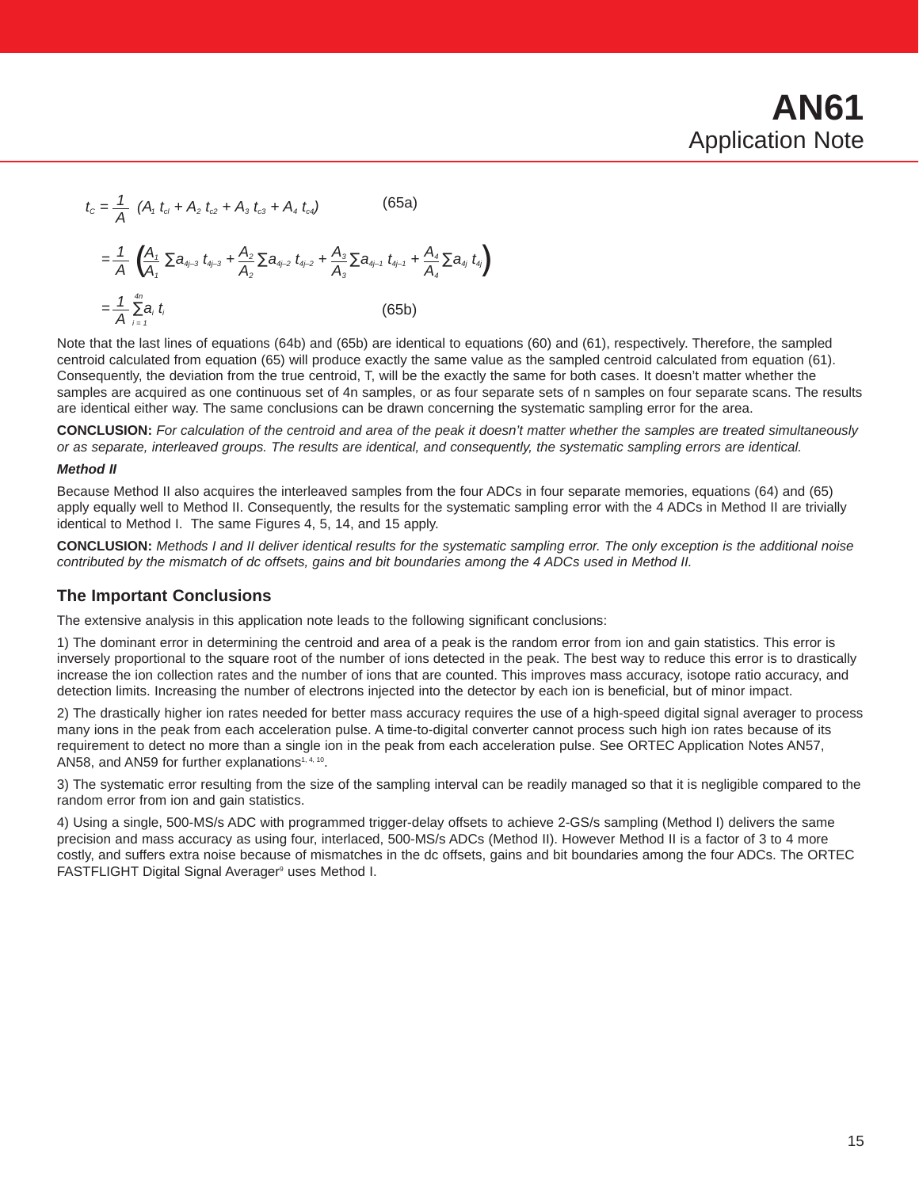$$
t_c = \frac{1}{A} (A_t t_{ci} + A_2 t_{c2} + A_3 t_{c3} + A_4 t_{c4})
$$
 (65a)  

$$
= \frac{1}{A} (\frac{A_t}{A_t} \sum a_{4i-3} t_{4i-3} + \frac{A_2}{A_2} \sum a_{4i-2} t_{4i-2} + \frac{A_3}{A_3} \sum a_{4i-1} t_{4i-1} + \frac{A_4}{A_4} \sum a_{4i} t_{4i})
$$

$$
= \frac{1}{A} \sum_{i=1}^{4n} a_i t_i
$$
 (65b)

Note that the last lines of equations (64b) and (65b) are identical to equations (60) and (61), respectively. Therefore, the sampled centroid calculated from equation (65) will produce exactly the same value as the sampled centroid calculated from equation (61). Consequently, the deviation from the true centroid, T, will be the exactly the same for both cases. It doesn't matter whether the samples are acquired as one continuous set of 4n samples, or as four separate sets of n samples on four separate scans. The results are identical either way. The same conclusions can be drawn concerning the systematic sampling error for the area.

**CONCLUSION:** For calculation of the centroid and area of the peak it doesn't matter whether the samples are treated simultaneously or as separate, interleaved groups. The results are identical, and consequently, the systematic sampling errors are identical.

#### **Method II**

Because Method II also acquires the interleaved samples from the four ADCs in four separate memories, equations (64) and (65) apply equally well to Method II. Consequently, the results for the systematic sampling error with the 4 ADCs in Method II are trivially identical to Method I. The same Figures 4, 5, 14, and 15 apply.

**CONCLUSION:** Methods I and II deliver identical results for the systematic sampling error. The only exception is the additional noise contributed by the mismatch of dc offsets, gains and bit boundaries among the 4 ADCs used in Method II.

#### **The Important Conclusions**

The extensive analysis in this application note leads to the following significant conclusions:

1) The dominant error in determining the centroid and area of a peak is the random error from ion and gain statistics. This error is inversely proportional to the square root of the number of ions detected in the peak. The best way to reduce this error is to drastically increase the ion collection rates and the number of ions that are counted. This improves mass accuracy, isotope ratio accuracy, and detection limits. Increasing the number of electrons injected into the detector by each ion is beneficial, but of minor impact.

2) The drastically higher ion rates needed for better mass accuracy requires the use of a high-speed digital signal averager to process many ions in the peak from each acceleration pulse. A time-to-digital converter cannot process such high ion rates because of its requirement to detect no more than a single ion in the peak from each acceleration pulse. See ORTEC Application Notes AN57, AN58, and AN59 for further explanations<sup>1, 4, 10</sup>.

3) The systematic error resulting from the size of the sampling interval can be readily managed so that it is negligible compared to the random error from ion and gain statistics.

4) Using a single, 500-MS/s ADC with programmed trigger-delay offsets to achieve 2-GS/s sampling (Method I) delivers the same precision and mass accuracy as using four, interlaced, 500-MS/s ADCs (Method II). However Method II is a factor of 3 to 4 more costly, and suffers extra noise because of mismatches in the dc offsets, gains and bit boundaries among the four ADCs. The ORTEC FASTFLIGHT Digital Signal Averager<sup>9</sup> uses Method I.